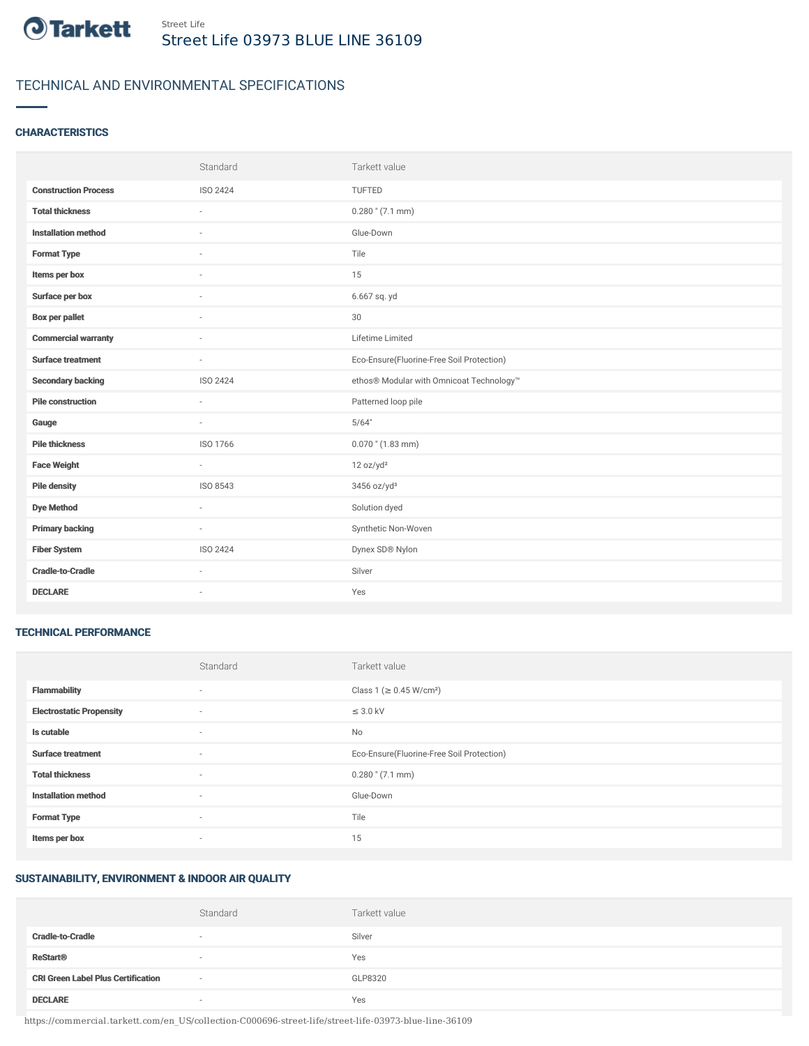

# TECHNICAL AND ENVIRONMENTAL SPECIFICATIONS

## **CHARACTERISTICS**

|                             | Standard | Tarkett value                             |
|-----------------------------|----------|-------------------------------------------|
| <b>Construction Process</b> | ISO 2424 | TUFTED                                    |
| <b>Total thickness</b>      |          | $0.280$ " (7.1 mm)                        |
| <b>Installation method</b>  | $\sim$   | Glue-Down                                 |
| <b>Format Type</b>          |          | Tile                                      |
| Items per box               |          | 15                                        |
| Surface per box             |          | 6.667 sq. yd                              |
| <b>Box per pallet</b>       | $\sim$   | 30                                        |
| <b>Commercial warranty</b>  | $\sim$   | Lifetime Limited                          |
| <b>Surface treatment</b>    | $\sim$   | Eco-Ensure(Fluorine-Free Soil Protection) |
| <b>Secondary backing</b>    | ISO 2424 | ethos® Modular with Omnicoat Technology™  |
| <b>Pile construction</b>    | $\sim$   | Patterned loop pile                       |
| Gauge                       | $\sim$   | 5/64"                                     |
| <b>Pile thickness</b>       | ISO 1766 | $0.070$ " (1.83 mm)                       |
| <b>Face Weight</b>          | $\sim$   | 12 oz/yd <sup>2</sup>                     |
| <b>Pile density</b>         | ISO 8543 | 3456 oz/yd <sup>3</sup>                   |
| <b>Dye Method</b>           | $\sim$   | Solution dyed                             |
| <b>Primary backing</b>      | $\sim$   | Synthetic Non-Woven                       |
| <b>Fiber System</b>         | ISO 2424 | Dynex SD® Nylon                           |
| <b>Cradle-to-Cradle</b>     | $\sim$   | Silver                                    |
| <b>DECLARE</b>              | ٠        | Yes                                       |

#### TECHNICAL PERFORMANCE

|                                 | Standard | Tarkett value                             |
|---------------------------------|----------|-------------------------------------------|
| <b>Flammability</b>             | ٠        | Class 1 (≥ 0.45 W/cm <sup>2</sup> )       |
| <b>Electrostatic Propensity</b> | $\sim$   | $\leq$ 3.0 kV                             |
| Is cutable                      | $\sim$   | No                                        |
| <b>Surface treatment</b>        | $\sim$   | Eco-Ensure(Fluorine-Free Soil Protection) |
| <b>Total thickness</b>          | $\sim$   | $0.280$ " (7.1 mm)                        |
| <b>Installation method</b>      | $\sim$   | Glue-Down                                 |
| <b>Format Type</b>              | $\sim$   | Tile                                      |
| Items per box                   | $\sim$   | 15                                        |

### SUSTAINABILITY, ENVIRONMENT & INDOOR AIR QUALITY

|                                           | Standard                 | Tarkett value |
|-------------------------------------------|--------------------------|---------------|
| <b>Cradle-to-Cradle</b>                   | $\overline{\phantom{a}}$ | Silver        |
| <b>ReStart<sup>®</sup></b>                | $\sim$                   | Yes           |
| <b>CRI Green Label Plus Certification</b> | $\sim$                   | GLP8320       |
| <b>DECLARE</b>                            | $\overline{\phantom{a}}$ | Yes           |

https://commercial.tarkett.com/en\_US/collection-C000696-street-life/street-life-03973-blue-line-36109